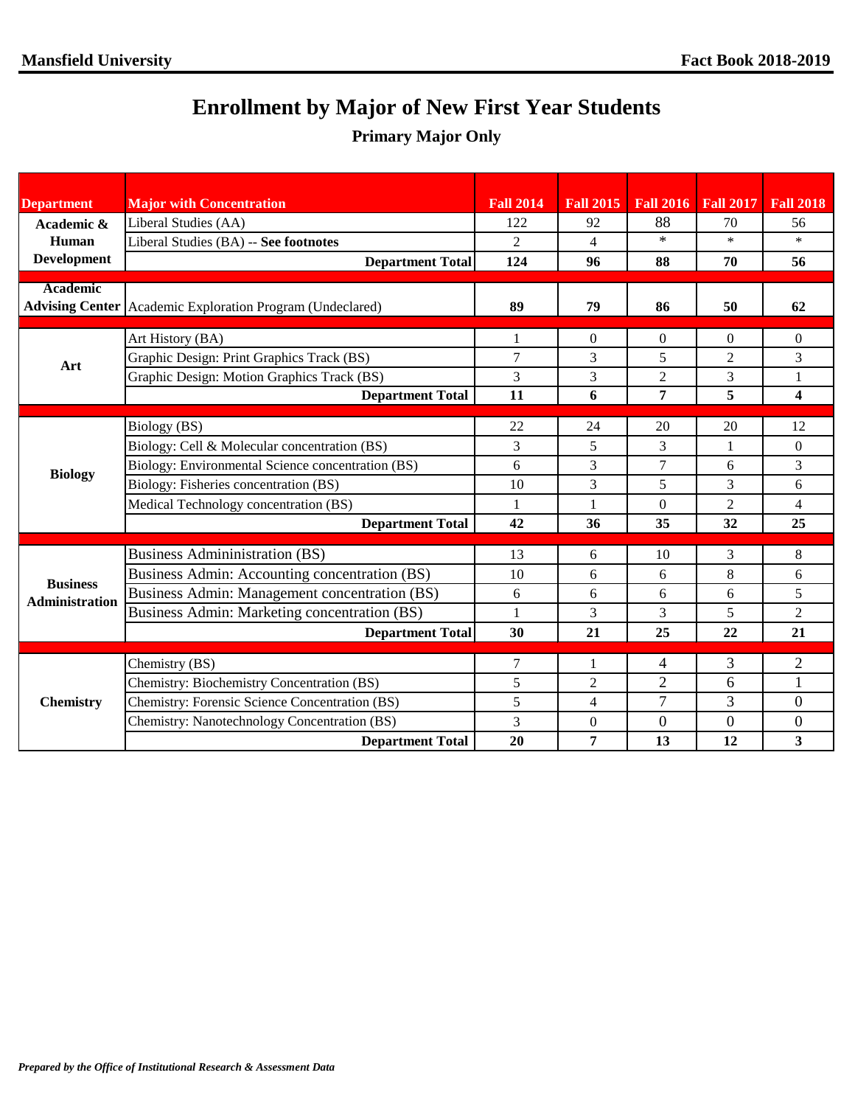## **Enrollment by Major of New First Year Students**

## **Primary Major Only**

| <b>Department</b>                        | <b>Major with Concentration</b>                             | <b>Fall 2014</b> | <b>Fall 2015</b> |                  | Fall 2016 Fall 2017 Fall 2018 |                |
|------------------------------------------|-------------------------------------------------------------|------------------|------------------|------------------|-------------------------------|----------------|
| Academic &                               | Liberal Studies (AA)                                        | 122              | 92               | 88               | 70                            | 56             |
| Human                                    | Liberal Studies (BA) -- See footnotes                       | 2                | $\overline{4}$   | $\ast$           | $\ast$                        | $\ast$         |
| <b>Development</b>                       | <b>Department Total</b>                                     | 124              | 96               | 88               | 70                            | 56             |
| <b>Academic</b>                          |                                                             |                  |                  |                  |                               |                |
|                                          | Advising Center   Academic Exploration Program (Undeclared) | 89               | 79               | 86               | 50                            | 62             |
|                                          |                                                             |                  |                  |                  |                               |                |
| Art                                      | Art History (BA)                                            |                  | $\Omega$         | 0                | $\Omega$                      | $\Omega$       |
|                                          | Graphic Design: Print Graphics Track (BS)                   | $\overline{7}$   | 3                | 5                | 2                             | 3              |
|                                          | Graphic Design: Motion Graphics Track (BS)                  | 3                | 3                | $\overline{c}$   | 3                             | 1              |
|                                          | <b>Department Total</b>                                     | 11               | 6                | 7                | 5                             | 4              |
|                                          |                                                             |                  |                  |                  |                               |                |
| <b>Biology</b>                           | Biology (BS)                                                | 22               | 24               | 20               | 20                            | 12             |
|                                          | Biology: Cell & Molecular concentration (BS)                | 3                | 5                | 3                | 1                             | $\Omega$       |
|                                          | Biology: Environmental Science concentration (BS)           | 6                | 3                | $\overline{7}$   | 6                             | 3              |
|                                          | Biology: Fisheries concentration (BS)                       | 10               | 3                | 5                | 3                             | 6              |
|                                          | Medical Technology concentration (BS)                       | 1                | 1                | $\theta$         | $\overline{c}$                | 4              |
|                                          | <b>Department Total</b>                                     | 42               | 36               | 35               | 32                            | 25             |
|                                          | <b>Business Administration (BS)</b>                         | 13               | 6                | 10               | 3                             | 8              |
|                                          | Business Admin: Accounting concentration (BS)               | 10               | 6                | 6                | 8                             | 6              |
| <b>Business</b><br><b>Administration</b> | Business Admin: Management concentration (BS)               | 6                | 6                | 6                | 6                             | 5              |
|                                          | Business Admin: Marketing concentration (BS)                |                  | 3                | 3                | 5                             | $\overline{2}$ |
|                                          | <b>Department Total</b>                                     | 30               | 21               | 25               | 22                            | 21             |
|                                          |                                                             |                  |                  |                  |                               |                |
| <b>Chemistry</b>                         | Chemistry (BS)                                              | 7                | 1                | 4                | 3                             | $\overline{2}$ |
|                                          | Chemistry: Biochemistry Concentration (BS)                  | 5                | 2                | $\overline{2}$   | 6                             | 1              |
|                                          | Chemistry: Forensic Science Concentration (BS)              | 5                | $\overline{4}$   | $\overline{7}$   | 3                             | $\overline{0}$ |
|                                          | Chemistry: Nanotechnology Concentration (BS)                | 3                | $\mathbf{0}$     | $\boldsymbol{0}$ | $\boldsymbol{0}$              | 0              |
|                                          | <b>Department Total</b>                                     | 20               | 7                | 13               | 12                            | 3              |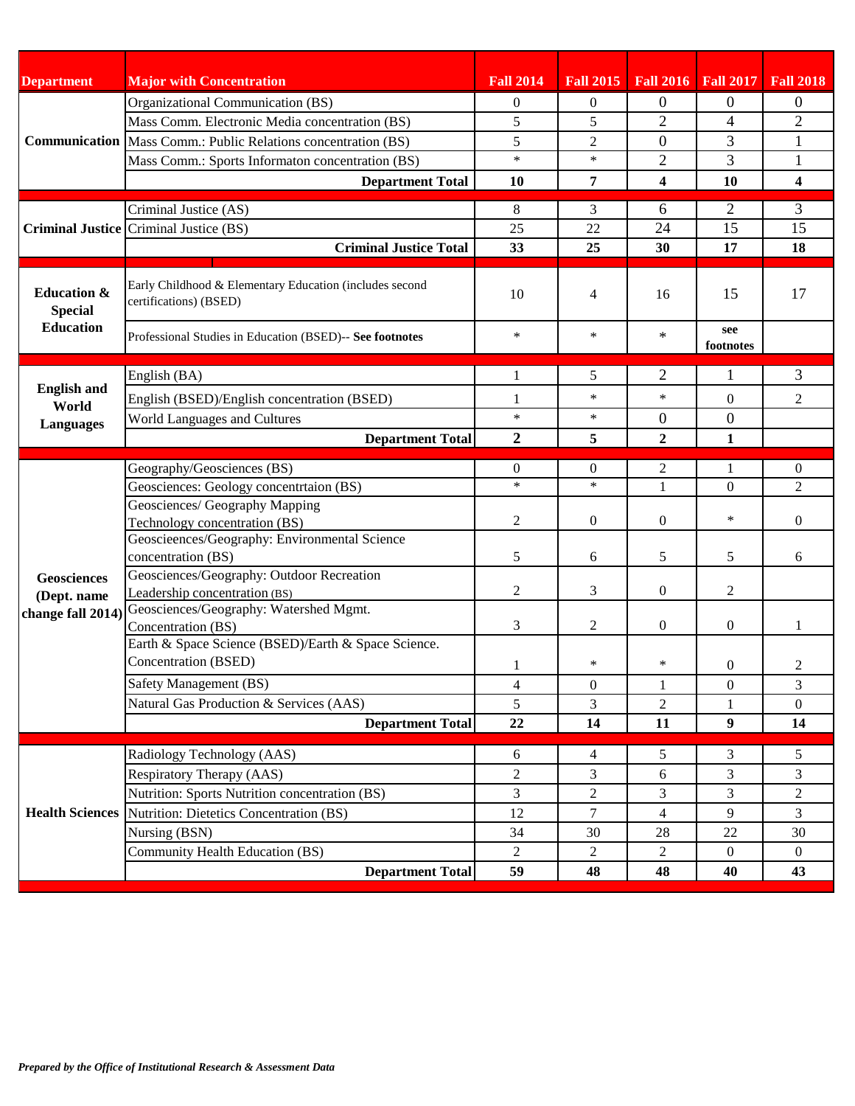| <b>Department</b>                                            | <b>Major with Concentration</b>                                                    | <b>Fall 2014</b>         |                    | Fall 2015   Fall 2016   Fall 2017 |                          | <b>Fall 2018</b>        |
|--------------------------------------------------------------|------------------------------------------------------------------------------------|--------------------------|--------------------|-----------------------------------|--------------------------|-------------------------|
|                                                              | Organizational Communication (BS)                                                  | $\overline{0}$           | $\overline{0}$     | 0                                 | $\theta$                 | $\theta$                |
|                                                              | Mass Comm. Electronic Media concentration (BS)                                     | 5                        | 5                  | $\overline{2}$                    | $\overline{\mathcal{A}}$ | $\overline{2}$          |
|                                                              | <b>Communication</b> Mass Comm.: Public Relations concentration (BS)               | 5                        | $\overline{c}$     | $\boldsymbol{0}$                  | 3                        | 1                       |
|                                                              | Mass Comm.: Sports Informaton concentration (BS)                                   | $\ast$                   | $\ast$             | $\overline{2}$                    | 3                        | $\mathbf{1}$            |
|                                                              | <b>Department Total</b>                                                            | 10                       | $\overline{7}$     | 4                                 | 10                       | $\overline{\mathbf{4}}$ |
|                                                              | Criminal Justice (AS)                                                              | 8                        | 3                  | 6                                 | $\overline{2}$           | 3                       |
|                                                              | <b>Criminal Justice Criminal Justice (BS)</b>                                      | 25                       | 22                 | 24                                | 15                       | 15                      |
|                                                              | <b>Criminal Justice Total</b>                                                      | 33                       | 25                 | 30                                | 17                       | 18                      |
|                                                              |                                                                                    |                          |                    |                                   |                          |                         |
| <b>Education &amp;</b><br><b>Special</b><br><b>Education</b> | Early Childhood & Elementary Education (includes second<br>certifications) (BSED)  | 10                       | 4                  | 16                                | 15                       | 17                      |
|                                                              | Professional Studies in Education (BSED)-- See footnotes                           | $\ast$                   | $\ast$             | $\ast$                            | see<br>footnotes         |                         |
|                                                              | English (BA)                                                                       | 1                        | 5                  | $\overline{2}$                    | 1                        | 3                       |
| <b>English and</b>                                           | English (BSED)/English concentration (BSED)                                        | 1                        | $\ast$             | $\ast$                            | $\Omega$                 | 2                       |
| World                                                        | World Languages and Cultures                                                       | $\ast$                   | $\ast$             | $\overline{0}$                    | $\boldsymbol{0}$         |                         |
| <b>Languages</b>                                             | <b>Department Total</b>                                                            | $\overline{2}$           | 5                  | $\boldsymbol{2}$                  | 1                        |                         |
|                                                              |                                                                                    |                          |                    |                                   |                          |                         |
|                                                              | Geography/Geosciences (BS)                                                         | $\overline{0}$<br>$\ast$ | $\Omega$<br>$\ast$ | 2                                 | $\mathbf{1}$             | $\mathbf{0}$            |
|                                                              | Geosciences: Geology concentrtaion (BS)                                            |                          |                    | $\mathbf{1}$                      | $\Omega$                 | 2                       |
|                                                              | Geosciences/ Geography Mapping<br>Technology concentration (BS)                    | 2                        | $\theta$           | $\mathbf{0}$                      | $\ast$                   | $\mathbf{0}$            |
|                                                              | Geoscieences/Geography: Environmental Science                                      |                          |                    |                                   |                          |                         |
|                                                              | concentration (BS)                                                                 | 5                        | 6                  | 5                                 | 5                        | 6                       |
| <b>Geosciences</b>                                           | Geosciences/Geography: Outdoor Recreation                                          |                          |                    |                                   |                          |                         |
| (Dept. name<br>change fall 2014)                             | Leadership concentration (BS)                                                      | 2                        | 3                  | $\mathbf{0}$                      | 2                        |                         |
|                                                              | Geosciences/Geography: Watershed Mgmt.                                             |                          |                    |                                   |                          |                         |
|                                                              | Concentration (BS)                                                                 | 3                        | 2                  | $\mathbf{0}$                      | $\theta$                 | 1                       |
|                                                              | Earth & Space Science (BSED)/Earth & Space Science.<br><b>Concentration (BSED)</b> |                          |                    |                                   |                          |                         |
|                                                              |                                                                                    | 1                        | $\ast$             | ∗                                 | $\theta$                 | 2                       |
|                                                              | Safety Management (BS)                                                             | $\overline{4}$           | $\mathbf{0}$       | $\mathbf{1}$                      | $\boldsymbol{0}$         | 3                       |
|                                                              | Natural Gas Production & Services (AAS)                                            | 5                        | 3                  | $\overline{2}$                    | 1                        | $\Omega$                |
|                                                              | <b>Department Total</b>                                                            | 22                       | 14                 | 11                                | 9                        | 14                      |
|                                                              | Radiology Technology (AAS)                                                         | 6                        | $\overline{4}$     | 5                                 | 3                        | 5                       |
| <b>Health Sciences</b>                                       | Respiratory Therapy (AAS)                                                          | 2                        | 3                  | 6                                 | 3                        | 3                       |
|                                                              | Nutrition: Sports Nutrition concentration (BS)                                     | 3                        | $\overline{2}$     | 3                                 | 3                        | 2                       |
|                                                              | Nutrition: Dietetics Concentration (BS)                                            | 12                       | $\tau$             | $\overline{4}$                    | 9                        | 3                       |
|                                                              | Nursing (BSN)                                                                      | 34                       | 30                 | 28                                | $22\,$                   | 30                      |
|                                                              | Community Health Education (BS)                                                    | $\overline{2}$           | 2                  | $\overline{2}$                    | $\mathbf{0}$             | $\overline{0}$          |
|                                                              | <b>Department Total</b>                                                            | 59                       | 48                 | 48                                | 40                       | 43                      |